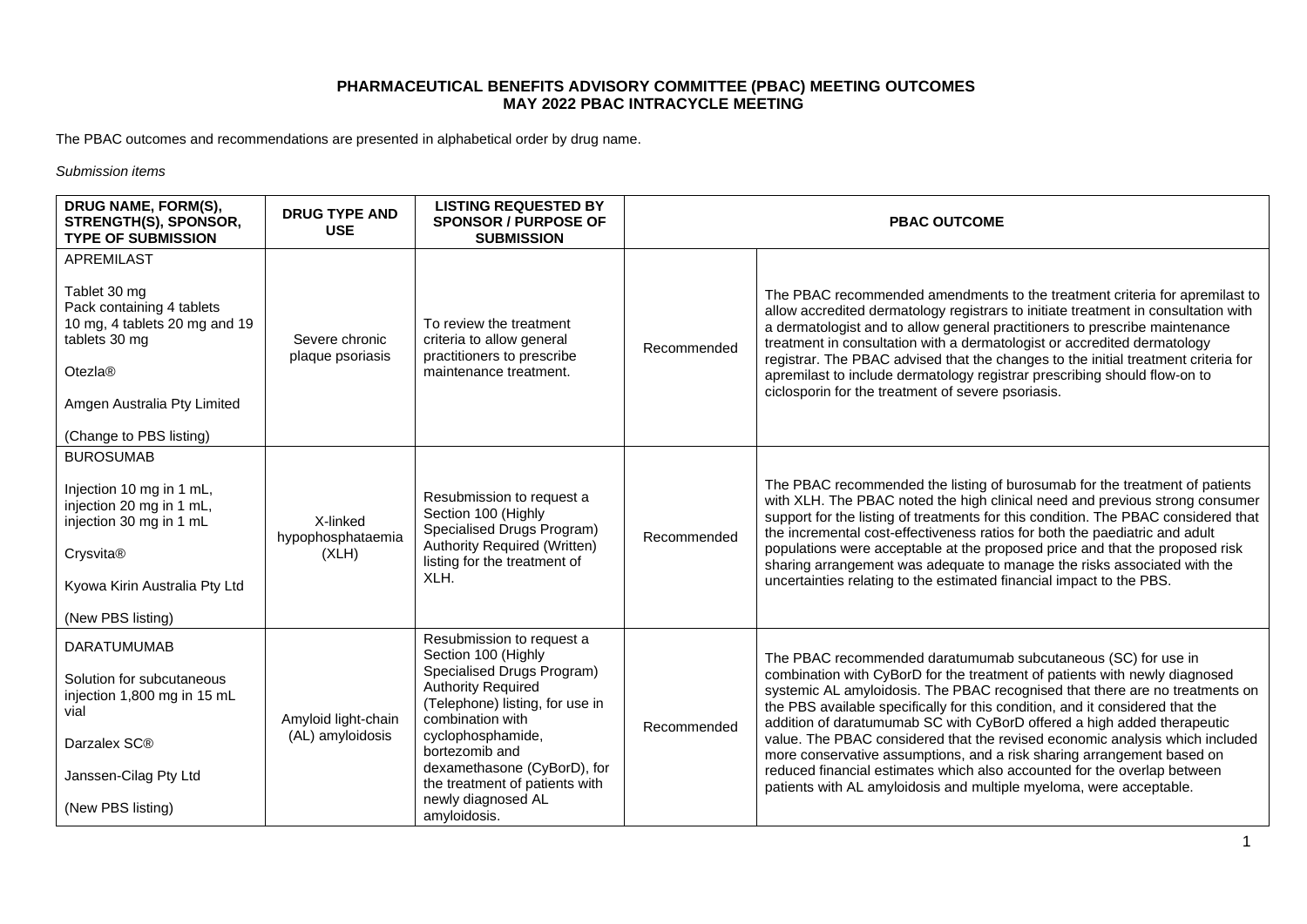The PBAC outcomes and recommendations are presented in alphabetical order by drug name.

*Submission items*

| DRUG NAME, FORM(S),<br>STRENGTH(S), SPONSOR,<br><b>TYPE OF SUBMISSION</b>                                                                                                      | <b>DRUG TYPE AND</b><br><b>USE</b>      | <b>LISTING REQUESTED BY</b><br><b>SPONSOR / PURPOSE OF</b><br><b>SUBMISSION</b>                                                                                                                                                                                                                                  |             | <b>PBAC OUTCOME</b>                                                                                                                                                                                                                                                                                                                                                                                                                                                                                                                                                                                                                                                                                  |
|--------------------------------------------------------------------------------------------------------------------------------------------------------------------------------|-----------------------------------------|------------------------------------------------------------------------------------------------------------------------------------------------------------------------------------------------------------------------------------------------------------------------------------------------------------------|-------------|------------------------------------------------------------------------------------------------------------------------------------------------------------------------------------------------------------------------------------------------------------------------------------------------------------------------------------------------------------------------------------------------------------------------------------------------------------------------------------------------------------------------------------------------------------------------------------------------------------------------------------------------------------------------------------------------------|
| APREMILAST<br>Tablet 30 mg<br>Pack containing 4 tablets<br>10 mg, 4 tablets 20 mg and 19<br>tablets 30 mg<br>Otezla®<br>Amgen Australia Pty Limited<br>(Change to PBS listing) | Severe chronic<br>plaque psoriasis      | To review the treatment<br>criteria to allow general<br>practitioners to prescribe<br>maintenance treatment.                                                                                                                                                                                                     | Recommended | The PBAC recommended amendments to the treatment criteria for apremilast to<br>allow accredited dermatology registrars to initiate treatment in consultation with<br>a dermatologist and to allow general practitioners to prescribe maintenance<br>treatment in consultation with a dermatologist or accredited dermatology<br>registrar. The PBAC advised that the changes to the initial treatment criteria for<br>apremilast to include dermatology registrar prescribing should flow-on to<br>ciclosporin for the treatment of severe psoriasis.                                                                                                                                                |
| <b>BUROSUMAB</b><br>Injection 10 mg in 1 mL,<br>injection 20 mg in 1 mL,<br>injection 30 mg in 1 mL<br>Crysvita®<br>Kyowa Kirin Australia Pty Ltd<br>(New PBS listing)         | X-linked<br>hypophosphataemia<br>(XLH)  | Resubmission to request a<br>Section 100 (Highly<br>Specialised Drugs Program)<br>Authority Required (Written)<br>listing for the treatment of<br>XLH.                                                                                                                                                           | Recommended | The PBAC recommended the listing of burosumab for the treatment of patients<br>with XLH. The PBAC noted the high clinical need and previous strong consumer<br>support for the listing of treatments for this condition. The PBAC considered that<br>the incremental cost-effectiveness ratios for both the paediatric and adult<br>populations were acceptable at the proposed price and that the proposed risk<br>sharing arrangement was adequate to manage the risks associated with the<br>uncertainties relating to the estimated financial impact to the PBS.                                                                                                                                 |
| <b>DARATUMUMAB</b><br>Solution for subcutaneous<br>injection 1,800 mg in 15 mL<br>vial<br>Darzalex SC®<br>Janssen-Cilag Pty Ltd<br>(New PBS listing)                           | Amyloid light-chain<br>(AL) amyloidosis | Resubmission to request a<br>Section 100 (Highly<br>Specialised Drugs Program)<br><b>Authority Required</b><br>(Telephone) listing, for use in<br>combination with<br>cyclophosphamide,<br>bortezomib and<br>dexamethasone (CyBorD), for<br>the treatment of patients with<br>newly diagnosed AL<br>amyloidosis. | Recommended | The PBAC recommended daratumumab subcutaneous (SC) for use in<br>combination with CyBorD for the treatment of patients with newly diagnosed<br>systemic AL amyloidosis. The PBAC recognised that there are no treatments on<br>the PBS available specifically for this condition, and it considered that the<br>addition of daratumumab SC with CyBorD offered a high added therapeutic<br>value. The PBAC considered that the revised economic analysis which included<br>more conservative assumptions, and a risk sharing arrangement based on<br>reduced financial estimates which also accounted for the overlap between<br>patients with AL amyloidosis and multiple myeloma, were acceptable. |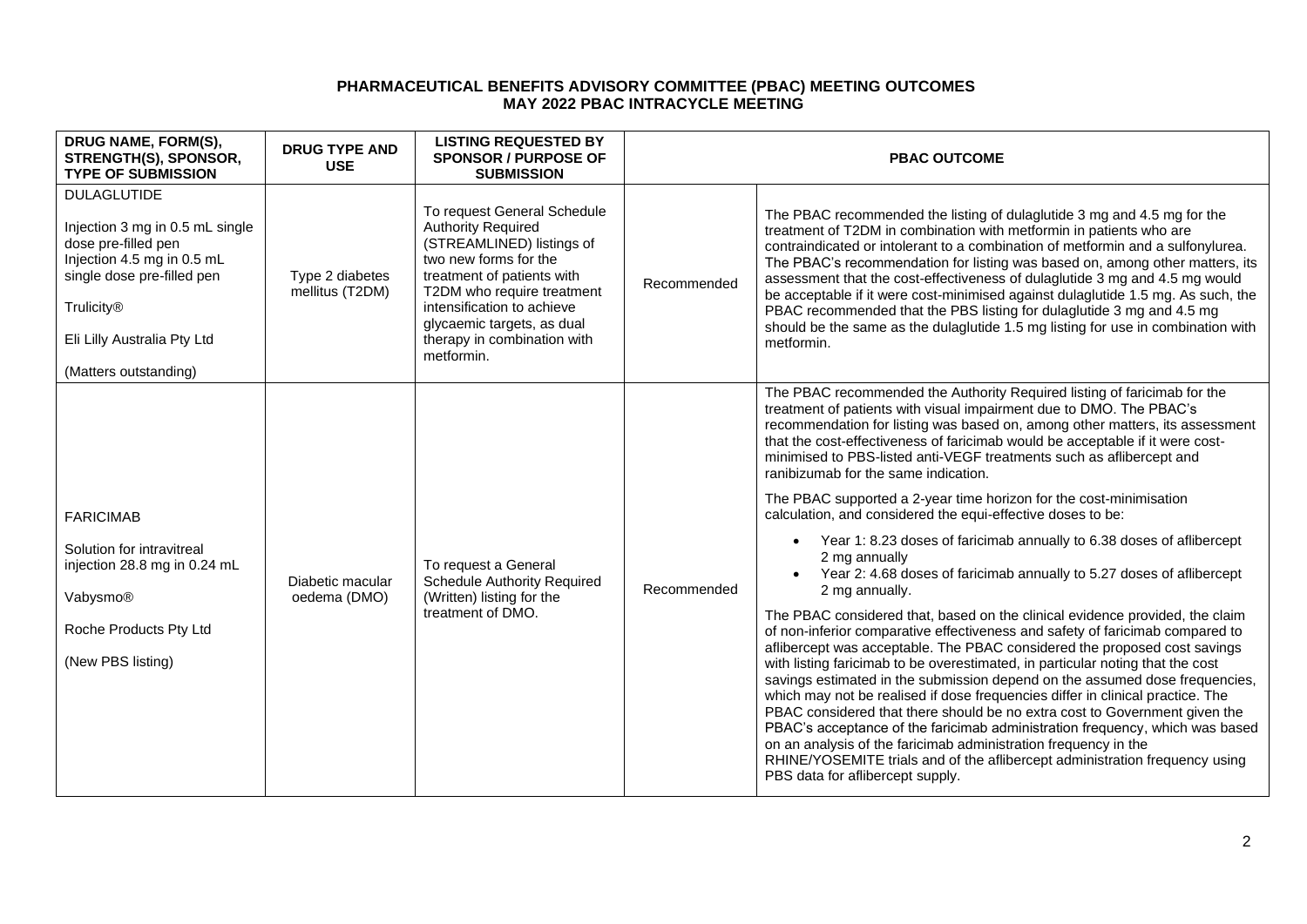| DRUG NAME, FORM(S),<br>STRENGTH(S), SPONSOR,<br><b>TYPE OF SUBMISSION</b>                                                                                                                                             | <b>DRUG TYPE AND</b><br><b>USE</b> | <b>LISTING REQUESTED BY</b><br><b>SPONSOR / PURPOSE OF</b><br><b>SUBMISSION</b>                                                                                                                                                                                                     |             | <b>PBAC OUTCOME</b>                                                                                                                                                                                                                                                                                                                                                                                                                                                                                                                                                                                                                                                                                                                                                                                                                                                                                                                                                                                                                                                                                                                                                                                                                                                                                                                                                                                                                                                                                                                                                                                             |
|-----------------------------------------------------------------------------------------------------------------------------------------------------------------------------------------------------------------------|------------------------------------|-------------------------------------------------------------------------------------------------------------------------------------------------------------------------------------------------------------------------------------------------------------------------------------|-------------|-----------------------------------------------------------------------------------------------------------------------------------------------------------------------------------------------------------------------------------------------------------------------------------------------------------------------------------------------------------------------------------------------------------------------------------------------------------------------------------------------------------------------------------------------------------------------------------------------------------------------------------------------------------------------------------------------------------------------------------------------------------------------------------------------------------------------------------------------------------------------------------------------------------------------------------------------------------------------------------------------------------------------------------------------------------------------------------------------------------------------------------------------------------------------------------------------------------------------------------------------------------------------------------------------------------------------------------------------------------------------------------------------------------------------------------------------------------------------------------------------------------------------------------------------------------------------------------------------------------------|
| <b>DULAGLUTIDE</b><br>Injection 3 mg in 0.5 mL single<br>dose pre-filled pen<br>Injection 4.5 mg in 0.5 mL<br>single dose pre-filled pen<br><b>Trulicity®</b><br>Eli Lilly Australia Pty Ltd<br>(Matters outstanding) | Type 2 diabetes<br>mellitus (T2DM) | To request General Schedule<br><b>Authority Required</b><br>(STREAMLINED) listings of<br>two new forms for the<br>treatment of patients with<br>T2DM who require treatment<br>intensification to achieve<br>glycaemic targets, as dual<br>therapy in combination with<br>metformin. | Recommended | The PBAC recommended the listing of dulaglutide 3 mg and 4.5 mg for the<br>treatment of T2DM in combination with metformin in patients who are<br>contraindicated or intolerant to a combination of metformin and a sulfonylurea.<br>The PBAC's recommendation for listing was based on, among other matters, its<br>assessment that the cost-effectiveness of dulaglutide 3 mg and 4.5 mg would<br>be acceptable if it were cost-minimised against dulaglutide 1.5 mg. As such, the<br>PBAC recommended that the PBS listing for dulaglutide 3 mg and 4.5 mg<br>should be the same as the dulaglutide 1.5 mg listing for use in combination with<br>metformin.                                                                                                                                                                                                                                                                                                                                                                                                                                                                                                                                                                                                                                                                                                                                                                                                                                                                                                                                                 |
| <b>FARICIMAB</b><br>Solution for intravitreal<br>injection 28.8 mg in 0.24 mL<br>Vabysmo®<br>Roche Products Pty Ltd<br>(New PBS listing)                                                                              | Diabetic macular<br>oedema (DMO)   | To request a General<br><b>Schedule Authority Required</b><br>(Written) listing for the<br>treatment of DMO.                                                                                                                                                                        | Recommended | The PBAC recommended the Authority Required listing of faricimab for the<br>treatment of patients with visual impairment due to DMO. The PBAC's<br>recommendation for listing was based on, among other matters, its assessment<br>that the cost-effectiveness of faricimab would be acceptable if it were cost-<br>minimised to PBS-listed anti-VEGF treatments such as aflibercept and<br>ranibizumab for the same indication.<br>The PBAC supported a 2-year time horizon for the cost-minimisation<br>calculation, and considered the equi-effective doses to be:<br>Year 1: 8.23 doses of faricimab annually to 6.38 doses of aflibercept<br>2 mg annually<br>Year 2: 4.68 doses of faricimab annually to 5.27 doses of aflibercept<br>2 mg annually.<br>The PBAC considered that, based on the clinical evidence provided, the claim<br>of non-inferior comparative effectiveness and safety of faricimab compared to<br>aflibercept was acceptable. The PBAC considered the proposed cost savings<br>with listing faricimab to be overestimated, in particular noting that the cost<br>savings estimated in the submission depend on the assumed dose frequencies,<br>which may not be realised if dose frequencies differ in clinical practice. The<br>PBAC considered that there should be no extra cost to Government given the<br>PBAC's acceptance of the faricimab administration frequency, which was based<br>on an analysis of the faricimab administration frequency in the<br>RHINE/YOSEMITE trials and of the aflibercept administration frequency using<br>PBS data for aflibercept supply. |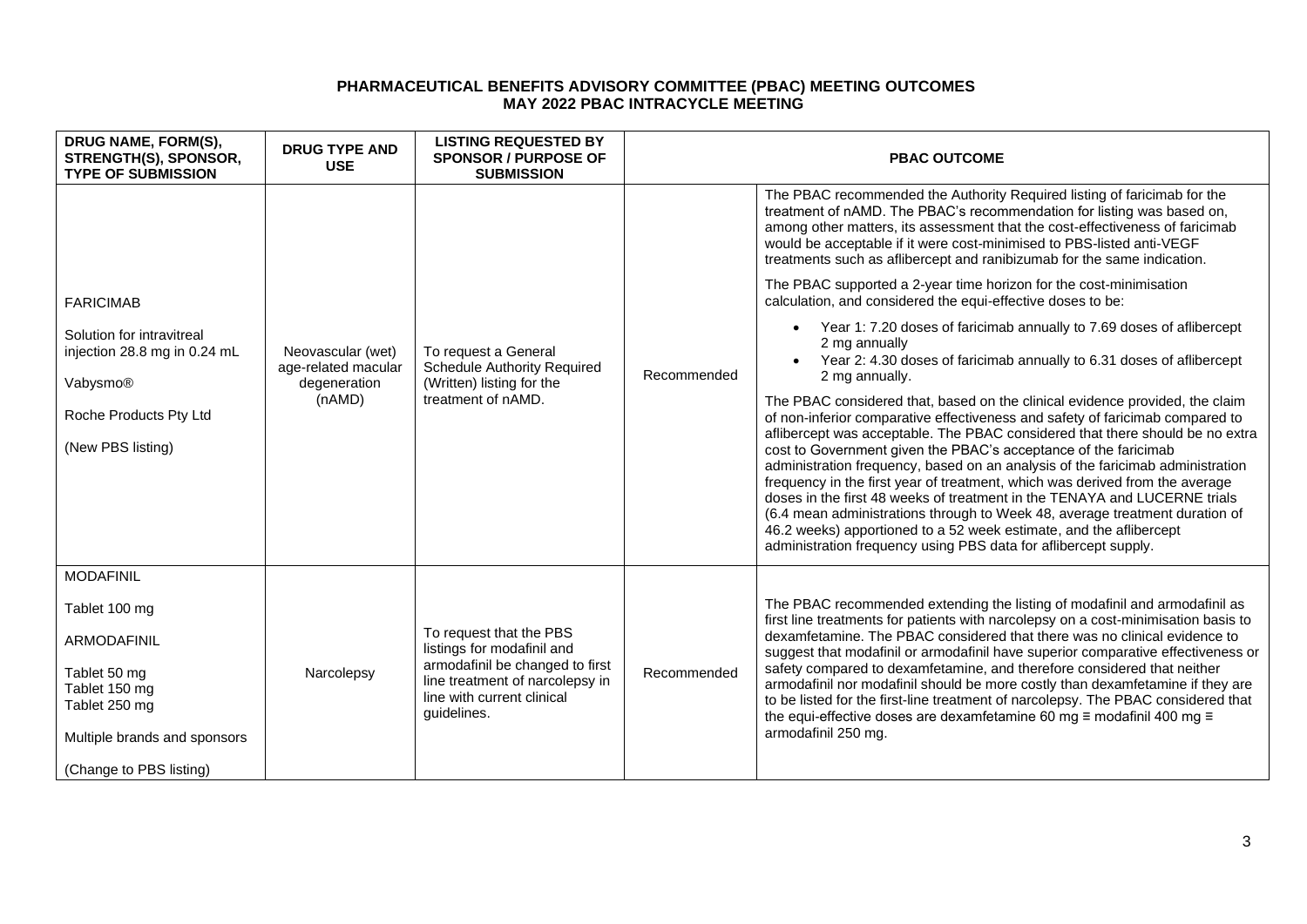| DRUG NAME, FORM(S),<br>STRENGTH(S), SPONSOR,<br><b>TYPE OF SUBMISSION</b>                                                                                     | <b>DRUG TYPE AND</b><br><b>USE</b>                                 | <b>LISTING REQUESTED BY</b><br><b>SPONSOR / PURPOSE OF</b><br><b>SUBMISSION</b>                                                                                          | <b>PBAC OUTCOME</b> |                                                                                                                                                                                                                                                                                                                                                                                                                                                                                                                                                                                                                                                                                                                                                                                          |
|---------------------------------------------------------------------------------------------------------------------------------------------------------------|--------------------------------------------------------------------|--------------------------------------------------------------------------------------------------------------------------------------------------------------------------|---------------------|------------------------------------------------------------------------------------------------------------------------------------------------------------------------------------------------------------------------------------------------------------------------------------------------------------------------------------------------------------------------------------------------------------------------------------------------------------------------------------------------------------------------------------------------------------------------------------------------------------------------------------------------------------------------------------------------------------------------------------------------------------------------------------------|
|                                                                                                                                                               |                                                                    | To request a General<br><b>Schedule Authority Required</b><br>(Written) listing for the<br>treatment of nAMD.                                                            | Recommended         | The PBAC recommended the Authority Required listing of faricimab for the<br>treatment of nAMD. The PBAC's recommendation for listing was based on,<br>among other matters, its assessment that the cost-effectiveness of faricimab<br>would be acceptable if it were cost-minimised to PBS-listed anti-VEGF<br>treatments such as aflibercept and ranibizumab for the same indication.                                                                                                                                                                                                                                                                                                                                                                                                   |
| <b>FARICIMAB</b>                                                                                                                                              |                                                                    |                                                                                                                                                                          |                     | The PBAC supported a 2-year time horizon for the cost-minimisation<br>calculation, and considered the equi-effective doses to be:                                                                                                                                                                                                                                                                                                                                                                                                                                                                                                                                                                                                                                                        |
| Solution for intravitreal<br>injection 28.8 mg in 0.24 mL<br>Vabysmo®                                                                                         | Neovascular (wet)<br>age-related macular<br>degeneration<br>(nAMD) |                                                                                                                                                                          |                     | Year 1: 7.20 doses of faricimab annually to 7.69 doses of aflibercept<br>2 mg annually<br>Year 2: 4.30 doses of faricimab annually to 6.31 doses of aflibercept<br>2 mg annually.                                                                                                                                                                                                                                                                                                                                                                                                                                                                                                                                                                                                        |
| Roche Products Pty Ltd<br>(New PBS listing)                                                                                                                   |                                                                    |                                                                                                                                                                          |                     | The PBAC considered that, based on the clinical evidence provided, the claim<br>of non-inferior comparative effectiveness and safety of faricimab compared to<br>aflibercept was acceptable. The PBAC considered that there should be no extra<br>cost to Government given the PBAC's acceptance of the faricimab<br>administration frequency, based on an analysis of the faricimab administration<br>frequency in the first year of treatment, which was derived from the average<br>doses in the first 48 weeks of treatment in the TENAYA and LUCERNE trials<br>(6.4 mean administrations through to Week 48, average treatment duration of<br>46.2 weeks) apportioned to a 52 week estimate, and the aflibercept<br>administration frequency using PBS data for aflibercept supply. |
| <b>MODAFINIL</b><br>Tablet 100 mg<br>ARMODAFINIL<br>Tablet 50 mg<br>Tablet 150 mg<br>Tablet 250 mg<br>Multiple brands and sponsors<br>(Change to PBS listing) | Narcolepsy                                                         | To request that the PBS<br>listings for modafinil and<br>armodafinil be changed to first<br>line treatment of narcolepsy in<br>line with current clinical<br>guidelines. | Recommended         | The PBAC recommended extending the listing of modafinil and armodafinil as<br>first line treatments for patients with narcolepsy on a cost-minimisation basis to<br>dexamfetamine. The PBAC considered that there was no clinical evidence to<br>suggest that modafinil or armodafinil have superior comparative effectiveness or<br>safety compared to dexamfetamine, and therefore considered that neither<br>armodafinil nor modafinil should be more costly than dexamfetamine if they are<br>to be listed for the first-line treatment of narcolepsy. The PBAC considered that<br>the equi-effective doses are dexamfetamine 60 mg $\equiv$ modafinil 400 mg $\equiv$<br>armodafinil 250 mg.                                                                                        |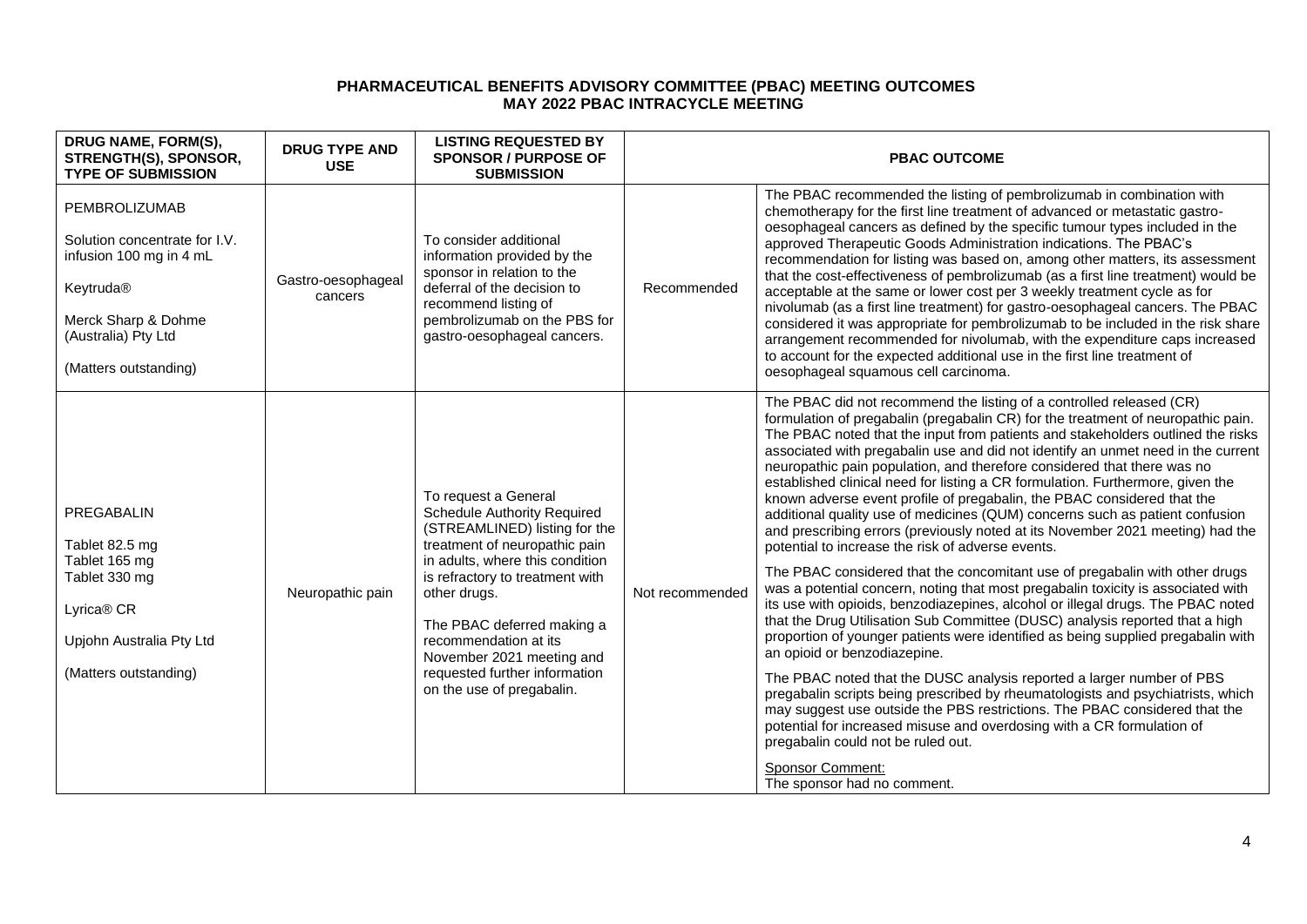| DRUG NAME, FORM(S),<br>STRENGTH(S), SPONSOR,<br><b>TYPE OF SUBMISSION</b>                                                                                     | <b>DRUG TYPE AND</b><br><b>USE</b> | <b>LISTING REQUESTED BY</b><br><b>SPONSOR / PURPOSE OF</b><br><b>SUBMISSION</b>                                                                                                                                                                                                                                                                                      |                 | <b>PBAC OUTCOME</b>                                                                                                                                                                                                                                                                                                                                                                                                                                                                                                                                                                                                                                                                                                                                                                                                                                                                                                                                                                                                                                                                                                                                                                                                                                                                                                                                                                                                                                                                                                                                                                                                                                                          |
|---------------------------------------------------------------------------------------------------------------------------------------------------------------|------------------------------------|----------------------------------------------------------------------------------------------------------------------------------------------------------------------------------------------------------------------------------------------------------------------------------------------------------------------------------------------------------------------|-----------------|------------------------------------------------------------------------------------------------------------------------------------------------------------------------------------------------------------------------------------------------------------------------------------------------------------------------------------------------------------------------------------------------------------------------------------------------------------------------------------------------------------------------------------------------------------------------------------------------------------------------------------------------------------------------------------------------------------------------------------------------------------------------------------------------------------------------------------------------------------------------------------------------------------------------------------------------------------------------------------------------------------------------------------------------------------------------------------------------------------------------------------------------------------------------------------------------------------------------------------------------------------------------------------------------------------------------------------------------------------------------------------------------------------------------------------------------------------------------------------------------------------------------------------------------------------------------------------------------------------------------------------------------------------------------------|
| PEMBROLIZUMAB<br>Solution concentrate for I.V.<br>infusion 100 mg in 4 mL<br>Keytruda®<br>Merck Sharp & Dohme<br>(Australia) Pty Ltd<br>(Matters outstanding) | Gastro-oesophageal<br>cancers      | To consider additional<br>information provided by the<br>sponsor in relation to the<br>deferral of the decision to<br>recommend listing of<br>pembrolizumab on the PBS for<br>gastro-oesophageal cancers.                                                                                                                                                            | Recommended     | The PBAC recommended the listing of pembrolizumab in combination with<br>chemotherapy for the first line treatment of advanced or metastatic gastro-<br>oesophageal cancers as defined by the specific tumour types included in the<br>approved Therapeutic Goods Administration indications. The PBAC's<br>recommendation for listing was based on, among other matters, its assessment<br>that the cost-effectiveness of pembrolizumab (as a first line treatment) would be<br>acceptable at the same or lower cost per 3 weekly treatment cycle as for<br>nivolumab (as a first line treatment) for gastro-oesophageal cancers. The PBAC<br>considered it was appropriate for pembrolizumab to be included in the risk share<br>arrangement recommended for nivolumab, with the expenditure caps increased<br>to account for the expected additional use in the first line treatment of<br>oesophageal squamous cell carcinoma.                                                                                                                                                                                                                                                                                                                                                                                                                                                                                                                                                                                                                                                                                                                                           |
| PREGABALIN<br>Tablet 82.5 mg<br>Tablet 165 mg<br>Tablet 330 mg<br>Lyrica <sup>®</sup> CR<br>Upjohn Australia Pty Ltd<br>(Matters outstanding)                 | Neuropathic pain                   | To request a General<br><b>Schedule Authority Required</b><br>(STREAMLINED) listing for the<br>treatment of neuropathic pain<br>in adults, where this condition<br>is refractory to treatment with<br>other drugs.<br>The PBAC deferred making a<br>recommendation at its<br>November 2021 meeting and<br>requested further information<br>on the use of pregabalin. | Not recommended | The PBAC did not recommend the listing of a controlled released (CR)<br>formulation of pregabalin (pregabalin CR) for the treatment of neuropathic pain.<br>The PBAC noted that the input from patients and stakeholders outlined the risks<br>associated with pregabalin use and did not identify an unmet need in the current<br>neuropathic pain population, and therefore considered that there was no<br>established clinical need for listing a CR formulation. Furthermore, given the<br>known adverse event profile of pregabalin, the PBAC considered that the<br>additional quality use of medicines (QUM) concerns such as patient confusion<br>and prescribing errors (previously noted at its November 2021 meeting) had the<br>potential to increase the risk of adverse events.<br>The PBAC considered that the concomitant use of pregabalin with other drugs<br>was a potential concern, noting that most pregabalin toxicity is associated with<br>its use with opioids, benzodiazepines, alcohol or illegal drugs. The PBAC noted<br>that the Drug Utilisation Sub Committee (DUSC) analysis reported that a high<br>proportion of younger patients were identified as being supplied pregabalin with<br>an opioid or benzodiazepine.<br>The PBAC noted that the DUSC analysis reported a larger number of PBS<br>pregabalin scripts being prescribed by rheumatologists and psychiatrists, which<br>may suggest use outside the PBS restrictions. The PBAC considered that the<br>potential for increased misuse and overdosing with a CR formulation of<br>pregabalin could not be ruled out.<br><b>Sponsor Comment:</b><br>The sponsor had no comment. |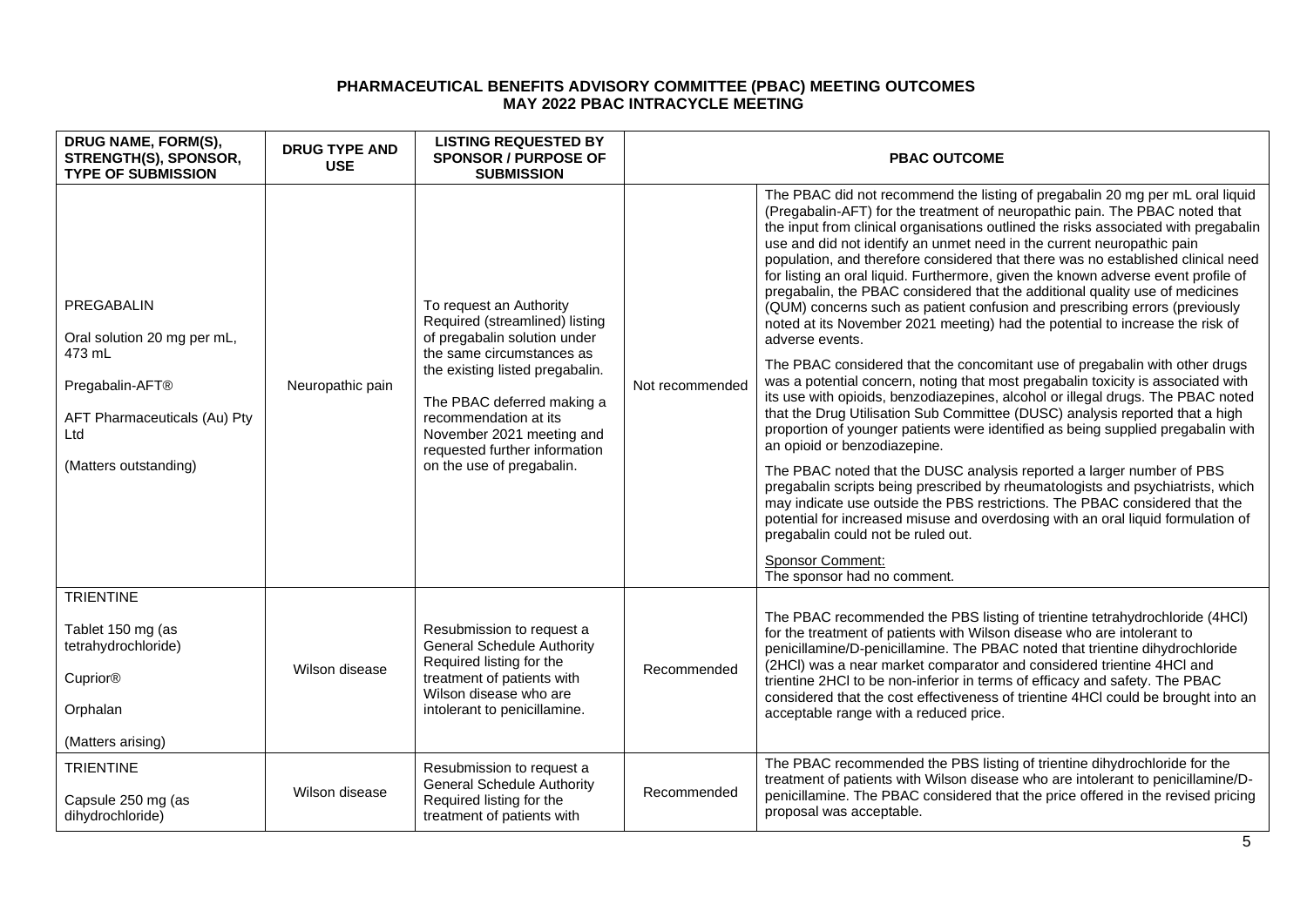| DRUG NAME, FORM(S),<br>STRENGTH(S), SPONSOR,<br><b>TYPE OF SUBMISSION</b>                                 | <b>DRUG TYPE AND</b><br><b>USE</b> | <b>LISTING REQUESTED BY</b><br><b>SPONSOR / PURPOSE OF</b><br><b>SUBMISSION</b>                                                                                                                                                                                                | <b>PBAC OUTCOME</b> |                                                                                                                                                                                                                                                                                                                                                                                                                                                                                                                                                                                                                                                                                                                                                                           |
|-----------------------------------------------------------------------------------------------------------|------------------------------------|--------------------------------------------------------------------------------------------------------------------------------------------------------------------------------------------------------------------------------------------------------------------------------|---------------------|---------------------------------------------------------------------------------------------------------------------------------------------------------------------------------------------------------------------------------------------------------------------------------------------------------------------------------------------------------------------------------------------------------------------------------------------------------------------------------------------------------------------------------------------------------------------------------------------------------------------------------------------------------------------------------------------------------------------------------------------------------------------------|
| PREGABALIN<br>Oral solution 20 mg per mL,<br>473 mL                                                       | Neuropathic pain                   | To request an Authority<br>Required (streamlined) listing<br>of pregabalin solution under<br>the same circumstances as<br>the existing listed pregabalin.<br>The PBAC deferred making a<br>recommendation at its<br>November 2021 meeting and<br>requested further information |                     | The PBAC did not recommend the listing of pregabalin 20 mg per mL oral liquid<br>(Pregabalin-AFT) for the treatment of neuropathic pain. The PBAC noted that<br>the input from clinical organisations outlined the risks associated with pregabalin<br>use and did not identify an unmet need in the current neuropathic pain<br>population, and therefore considered that there was no established clinical need<br>for listing an oral liquid. Furthermore, given the known adverse event profile of<br>pregabalin, the PBAC considered that the additional quality use of medicines<br>(QUM) concerns such as patient confusion and prescribing errors (previously<br>noted at its November 2021 meeting) had the potential to increase the risk of<br>adverse events. |
| Pregabalin-AFT®<br>AFT Pharmaceuticals (Au) Pty<br>Ltd                                                    |                                    |                                                                                                                                                                                                                                                                                | Not recommended     | The PBAC considered that the concomitant use of pregabalin with other drugs<br>was a potential concern, noting that most pregabalin toxicity is associated with<br>its use with opioids, benzodiazepines, alcohol or illegal drugs. The PBAC noted<br>that the Drug Utilisation Sub Committee (DUSC) analysis reported that a high<br>proportion of younger patients were identified as being supplied pregabalin with<br>an opioid or benzodiazepine.                                                                                                                                                                                                                                                                                                                    |
| (Matters outstanding)                                                                                     |                                    | on the use of pregabalin.                                                                                                                                                                                                                                                      |                     | The PBAC noted that the DUSC analysis reported a larger number of PBS<br>pregabalin scripts being prescribed by rheumatologists and psychiatrists, which<br>may indicate use outside the PBS restrictions. The PBAC considered that the<br>potential for increased misuse and overdosing with an oral liquid formulation of<br>pregabalin could not be ruled out.                                                                                                                                                                                                                                                                                                                                                                                                         |
|                                                                                                           |                                    |                                                                                                                                                                                                                                                                                |                     | <b>Sponsor Comment:</b><br>The sponsor had no comment.                                                                                                                                                                                                                                                                                                                                                                                                                                                                                                                                                                                                                                                                                                                    |
| <b>TRIENTINE</b><br>Tablet 150 mg (as<br>tetrahydrochloride)<br>Cuprior®<br>Orphalan<br>(Matters arising) | Wilson disease                     | Resubmission to request a<br><b>General Schedule Authority</b><br>Required listing for the<br>treatment of patients with<br>Wilson disease who are<br>intolerant to penicillamine.                                                                                             | Recommended         | The PBAC recommended the PBS listing of trientine tetrahydrochloride (4HCl)<br>for the treatment of patients with Wilson disease who are intolerant to<br>penicillamine/D-penicillamine. The PBAC noted that trientine dihydrochloride<br>(2HCI) was a near market comparator and considered trientine 4HCI and<br>trientine 2HCl to be non-inferior in terms of efficacy and safety. The PBAC<br>considered that the cost effectiveness of trientine 4HCl could be brought into an<br>acceptable range with a reduced price.                                                                                                                                                                                                                                             |
| <b>TRIENTINE</b><br>Capsule 250 mg (as<br>dihydrochloride)                                                | Wilson disease                     | Resubmission to request a<br><b>General Schedule Authority</b><br>Required listing for the<br>treatment of patients with                                                                                                                                                       | Recommended         | The PBAC recommended the PBS listing of trientine dihydrochloride for the<br>treatment of patients with Wilson disease who are intolerant to penicillamine/D-<br>penicillamine. The PBAC considered that the price offered in the revised pricing<br>proposal was acceptable.                                                                                                                                                                                                                                                                                                                                                                                                                                                                                             |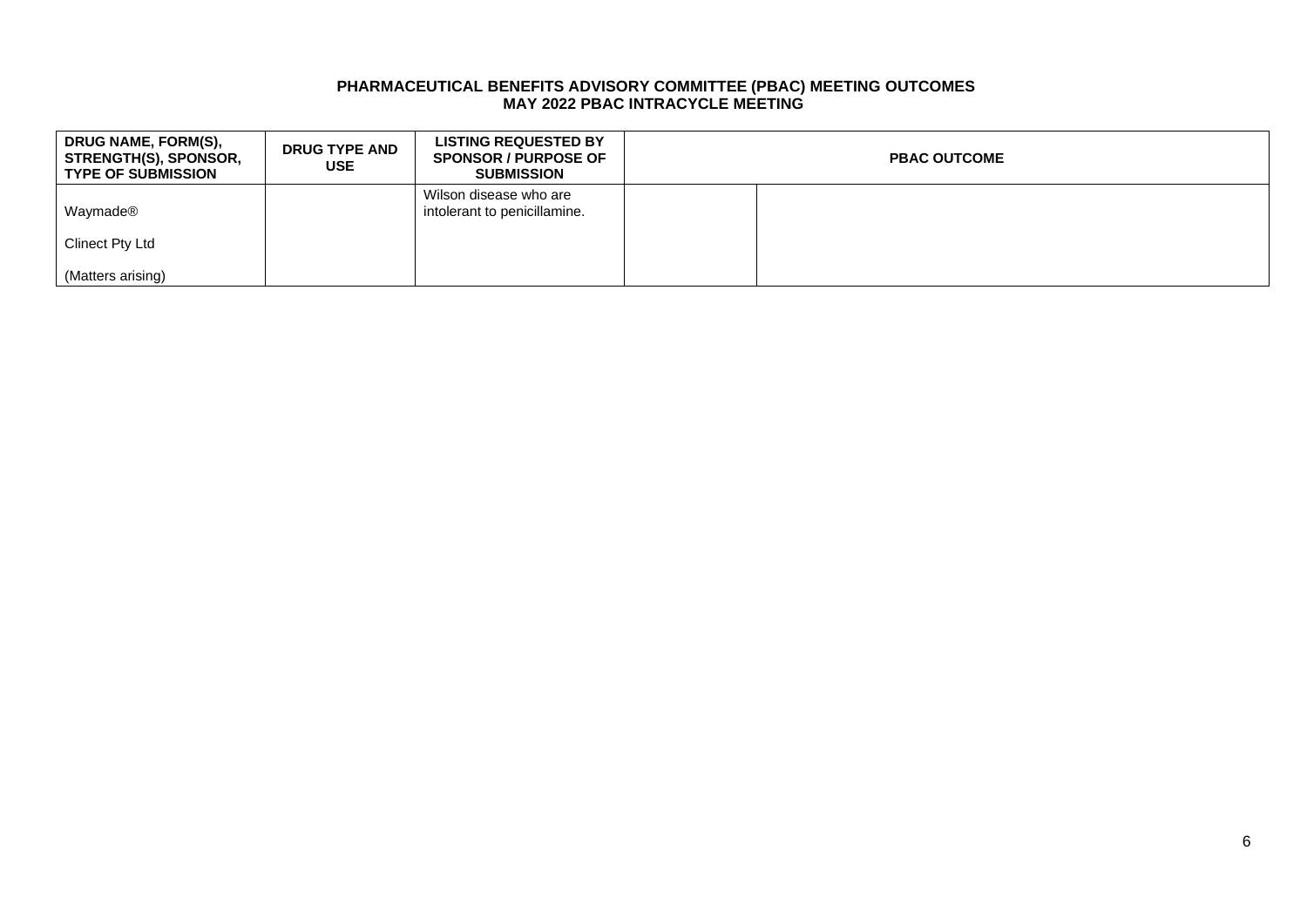| DRUG NAME, FORM(S),<br>STRENGTH(S), SPONSOR,<br><b>TYPE OF SUBMISSION</b> | <b>DRUG TYPE AND</b><br>USE | <b>LISTING REQUESTED BY</b><br><b>SPONSOR / PURPOSE OF</b><br><b>SUBMISSION</b> | <b>PBAC OUTCOME</b> |
|---------------------------------------------------------------------------|-----------------------------|---------------------------------------------------------------------------------|---------------------|
| Waymade®                                                                  |                             | Wilson disease who are<br>intolerant to penicillamine.                          |                     |
| Clinect Pty Ltd                                                           |                             |                                                                                 |                     |
| (Matters arising)                                                         |                             |                                                                                 |                     |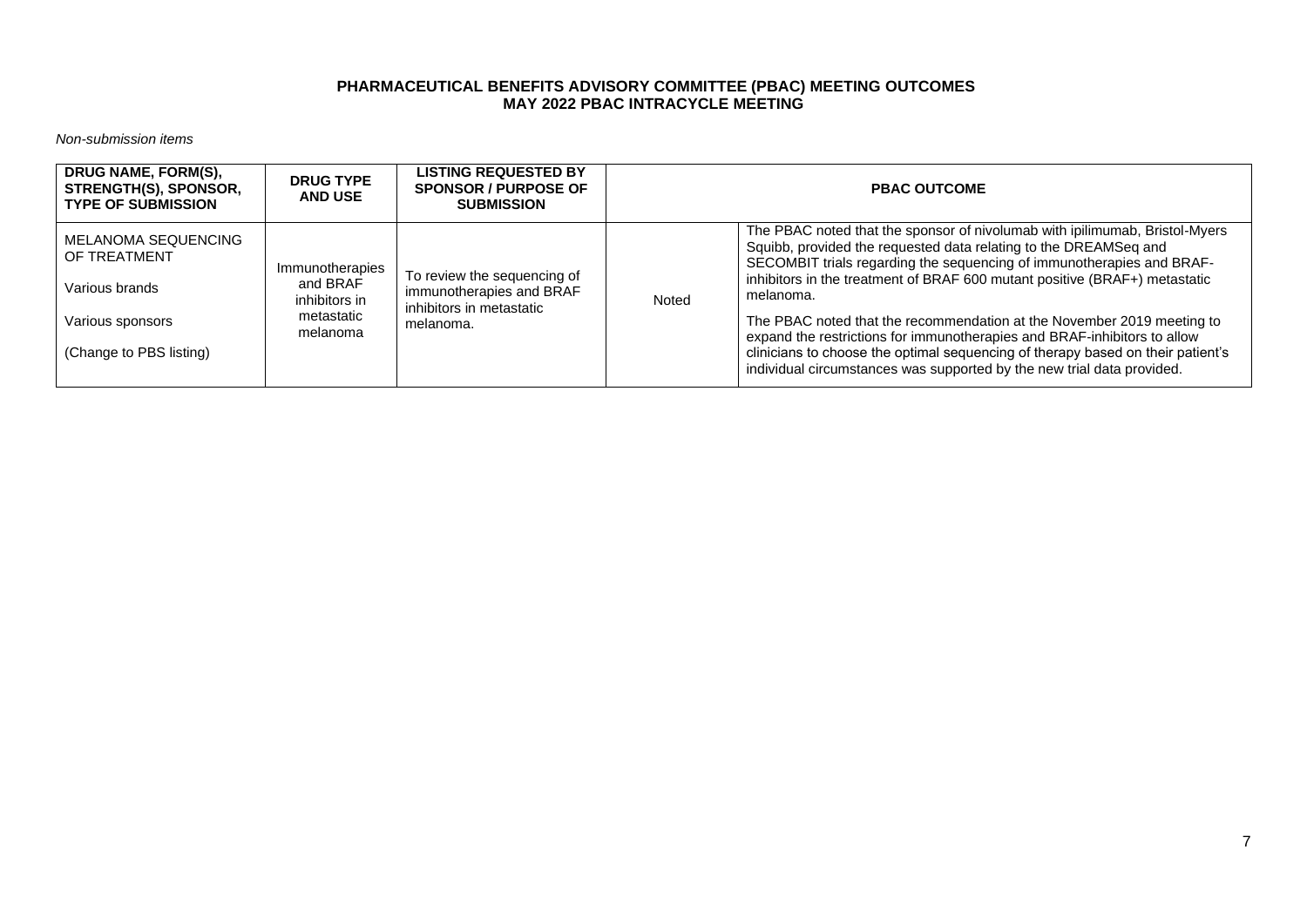*Non-submission items*

| DRUG NAME, FORM(S),<br><b>STRENGTH(S), SPONSOR,</b><br><b>TYPE OF SUBMISSION</b> | <b>DRUG TYPE</b><br><b>AND USE</b>           | <b>LISTING REQUESTED BY</b><br><b>SPONSOR / PURPOSE OF</b><br><b>SUBMISSION</b> | <b>PBAC OUTCOME</b> |                                                                                                                                                                                                                                                                                                                     |
|----------------------------------------------------------------------------------|----------------------------------------------|---------------------------------------------------------------------------------|---------------------|---------------------------------------------------------------------------------------------------------------------------------------------------------------------------------------------------------------------------------------------------------------------------------------------------------------------|
| MELANOMA SEQUENCING<br>OF TREATMENT<br>Various brands                            | Immunotherapies<br>and BRAF<br>inhibitors in | To review the sequencing of<br>immunotherapies and BRAF                         | Noted               | The PBAC noted that the sponsor of nivolumab with ipilimumab, Bristol-Myers<br>Squibb, provided the requested data relating to the DREAMSeq and<br>SECOMBIT trials regarding the sequencing of immunotherapies and BRAF-<br>inhibitors in the treatment of BRAF 600 mutant positive (BRAF+) metastatic<br>melanoma. |
| Various sponsors<br>(Change to PBS listing)                                      | metastatic<br>melanoma                       | inhibitors in metastatic<br>melanoma.                                           |                     | The PBAC noted that the recommendation at the November 2019 meeting to<br>expand the restrictions for immunotherapies and BRAF-inhibitors to allow<br>clinicians to choose the optimal sequencing of therapy based on their patient's<br>individual circumstances was supported by the new trial data provided.     |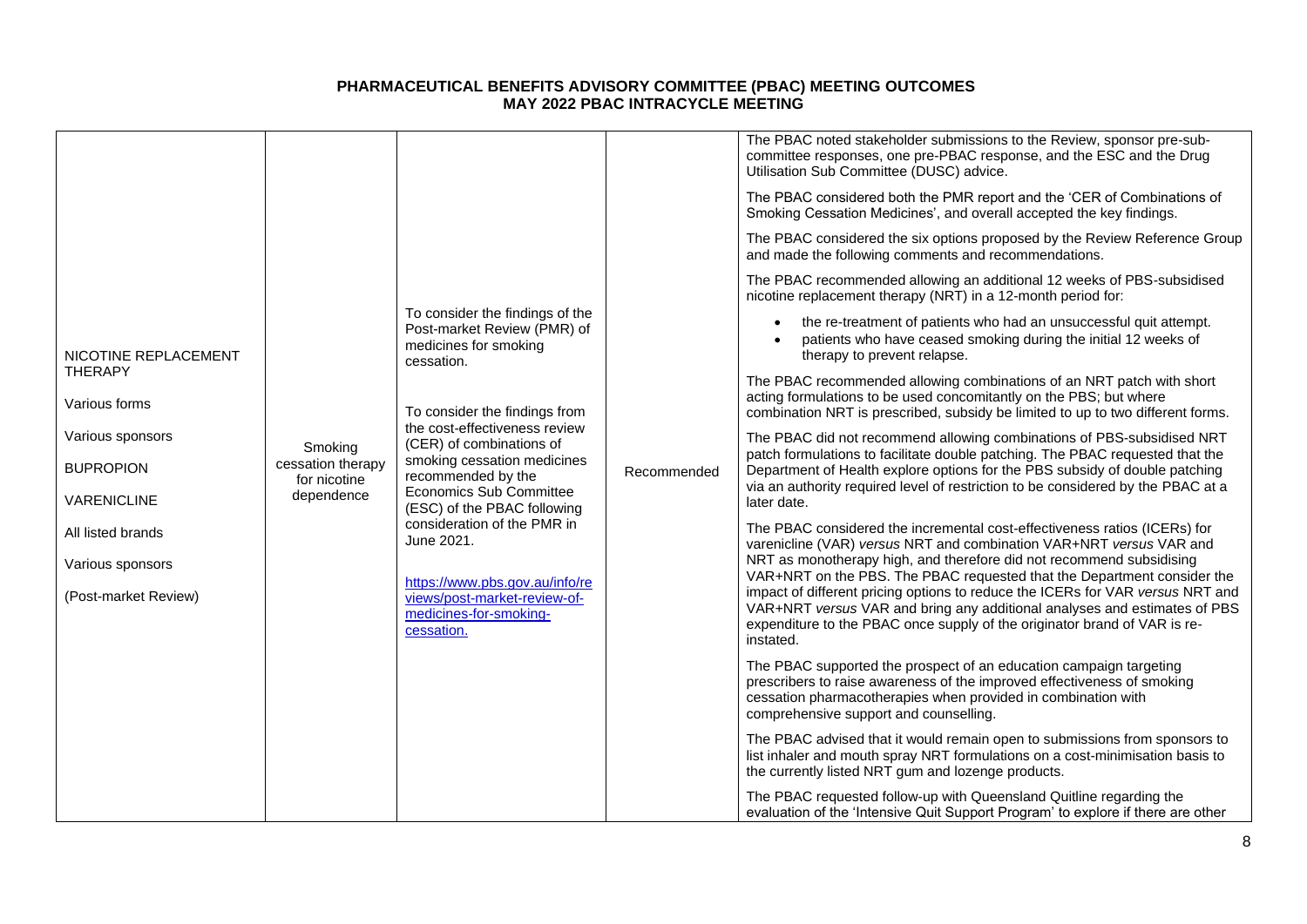|                                        |                              |                                                                                                                                                                                                                                                                                                                                                                         |             | The PBAC noted stakeholder submissions to the Review, sponsor pre-sub-<br>committee responses, one pre-PBAC response, and the ESC and the Drug<br>Utilisation Sub Committee (DUSC) advice.                                                               |
|----------------------------------------|------------------------------|-------------------------------------------------------------------------------------------------------------------------------------------------------------------------------------------------------------------------------------------------------------------------------------------------------------------------------------------------------------------------|-------------|----------------------------------------------------------------------------------------------------------------------------------------------------------------------------------------------------------------------------------------------------------|
|                                        |                              |                                                                                                                                                                                                                                                                                                                                                                         |             | The PBAC considered both the PMR report and the 'CER of Combinations of<br>Smoking Cessation Medicines', and overall accepted the key findings.                                                                                                          |
|                                        |                              |                                                                                                                                                                                                                                                                                                                                                                         |             | The PBAC considered the six options proposed by the Review Reference Group<br>and made the following comments and recommendations.                                                                                                                       |
|                                        |                              |                                                                                                                                                                                                                                                                                                                                                                         |             | The PBAC recommended allowing an additional 12 weeks of PBS-subsidised<br>nicotine replacement therapy (NRT) in a 12-month period for:                                                                                                                   |
| NICOTINE REPLACEMENT                   |                              | To consider the findings of the<br>Post-market Review (PMR) of<br>medicines for smoking<br>cessation.                                                                                                                                                                                                                                                                   |             | the re-treatment of patients who had an unsuccessful quit attempt.<br>patients who have ceased smoking during the initial 12 weeks of<br>therapy to prevent relapse.                                                                                     |
| <b>THERAPY</b><br>Various forms        |                              | To consider the findings from<br>the cost-effectiveness review<br>(CER) of combinations of<br>smoking cessation medicines<br>recommended by the<br><b>Economics Sub Committee</b><br>(ESC) of the PBAC following<br>consideration of the PMR in<br>June 2021.<br>https://www.pbs.gov.au/info/re<br>views/post-market-review-of-<br>medicines-for-smoking-<br>cessation. |             | The PBAC recommended allowing combinations of an NRT patch with short<br>acting formulations to be used concomitantly on the PBS; but where<br>combination NRT is prescribed, subsidy be limited to up to two different forms.                           |
| Various sponsors                       | Smoking<br>cessation therapy |                                                                                                                                                                                                                                                                                                                                                                         |             | The PBAC did not recommend allowing combinations of PBS-subsidised NRT<br>patch formulations to facilitate double patching. The PBAC requested that the                                                                                                  |
| <b>BUPROPION</b><br><b>VARENICLINE</b> | for nicotine<br>dependence   |                                                                                                                                                                                                                                                                                                                                                                         | Recommended | Department of Health explore options for the PBS subsidy of double patching<br>via an authority required level of restriction to be considered by the PBAC at a<br>later date.                                                                           |
| All listed brands                      |                              |                                                                                                                                                                                                                                                                                                                                                                         |             | The PBAC considered the incremental cost-effectiveness ratios (ICERs) for<br>varenicline (VAR) versus NRT and combination VAR+NRT versus VAR and                                                                                                         |
| Various sponsors                       |                              |                                                                                                                                                                                                                                                                                                                                                                         |             | NRT as monotherapy high, and therefore did not recommend subsidising<br>VAR+NRT on the PBS. The PBAC requested that the Department consider the                                                                                                          |
| (Post-market Review)                   |                              |                                                                                                                                                                                                                                                                                                                                                                         |             | impact of different pricing options to reduce the ICERs for VAR versus NRT and<br>VAR+NRT versus VAR and bring any additional analyses and estimates of PBS<br>expenditure to the PBAC once supply of the originator brand of VAR is re-<br>instated.    |
|                                        |                              |                                                                                                                                                                                                                                                                                                                                                                         |             | The PBAC supported the prospect of an education campaign targeting<br>prescribers to raise awareness of the improved effectiveness of smoking<br>cessation pharmacotherapies when provided in combination with<br>comprehensive support and counselling. |
|                                        |                              |                                                                                                                                                                                                                                                                                                                                                                         |             | The PBAC advised that it would remain open to submissions from sponsors to<br>list inhaler and mouth spray NRT formulations on a cost-minimisation basis to<br>the currently listed NRT gum and lozenge products.                                        |
|                                        |                              |                                                                                                                                                                                                                                                                                                                                                                         |             | The PBAC requested follow-up with Queensland Quitline regarding the<br>evaluation of the 'Intensive Quit Support Program' to explore if there are other                                                                                                  |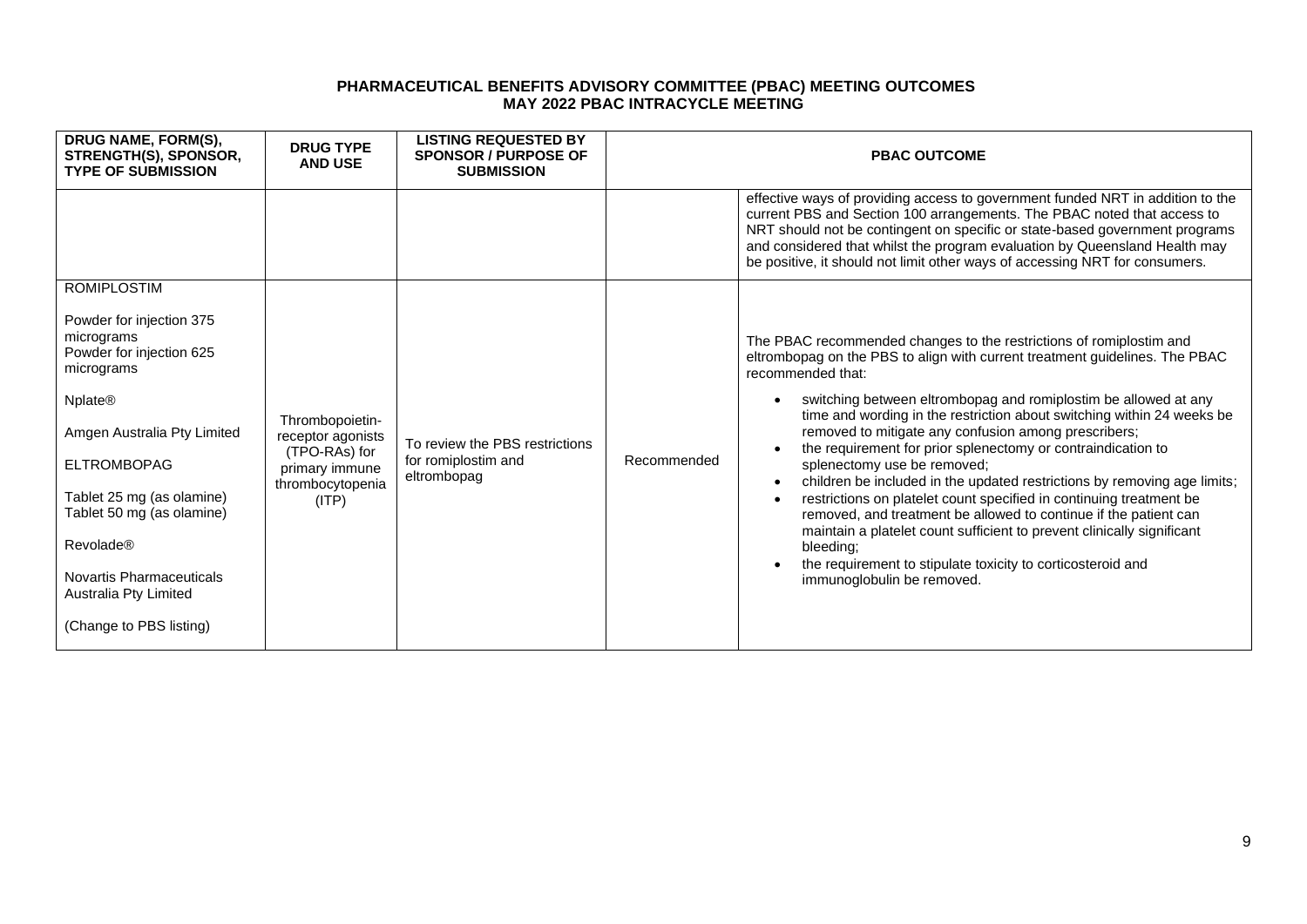| DRUG NAME, FORM(S),<br>STRENGTH(S), SPONSOR,<br><b>TYPE OF SUBMISSION</b>                                                                                                                                                                                                                                                                                     | <b>DRUG TYPE</b><br><b>AND USE</b>                                                                   | <b>LISTING REQUESTED BY</b><br><b>SPONSOR / PURPOSE OF</b><br><b>SUBMISSION</b> |             | <b>PBAC OUTCOME</b>                                                                                                                                                                                                                                                                                                                                                                                                                                                                                                                                                                                                                                                                                                                                                                                                                                                                    |
|---------------------------------------------------------------------------------------------------------------------------------------------------------------------------------------------------------------------------------------------------------------------------------------------------------------------------------------------------------------|------------------------------------------------------------------------------------------------------|---------------------------------------------------------------------------------|-------------|----------------------------------------------------------------------------------------------------------------------------------------------------------------------------------------------------------------------------------------------------------------------------------------------------------------------------------------------------------------------------------------------------------------------------------------------------------------------------------------------------------------------------------------------------------------------------------------------------------------------------------------------------------------------------------------------------------------------------------------------------------------------------------------------------------------------------------------------------------------------------------------|
|                                                                                                                                                                                                                                                                                                                                                               |                                                                                                      |                                                                                 |             | effective ways of providing access to government funded NRT in addition to the<br>current PBS and Section 100 arrangements. The PBAC noted that access to<br>NRT should not be contingent on specific or state-based government programs<br>and considered that whilst the program evaluation by Queensland Health may<br>be positive, it should not limit other ways of accessing NRT for consumers.                                                                                                                                                                                                                                                                                                                                                                                                                                                                                  |
| <b>ROMIPLOSTIM</b><br>Powder for injection 375<br>micrograms<br>Powder for injection 625<br>micrograms<br><b>Nplate<sup>®</sup></b><br>Amgen Australia Pty Limited<br><b>ELTROMBOPAG</b><br>Tablet 25 mg (as olamine)<br>Tablet 50 mg (as olamine)<br><b>Revolade®</b><br><b>Novartis Pharmaceuticals</b><br>Australia Pty Limited<br>(Change to PBS listing) | Thrombopoietin-<br>receptor agonists<br>(TPO-RAs) for<br>primary immune<br>thrombocytopenia<br>(ITP) | To review the PBS restrictions<br>for romiplostim and<br>eltrombopag            | Recommended | The PBAC recommended changes to the restrictions of romiplostim and<br>eltrombopag on the PBS to align with current treatment guidelines. The PBAC<br>recommended that:<br>switching between eltrombopag and romiplostim be allowed at any<br>time and wording in the restriction about switching within 24 weeks be<br>removed to mitigate any confusion among prescribers;<br>the requirement for prior splenectomy or contraindication to<br>splenectomy use be removed;<br>children be included in the updated restrictions by removing age limits;<br>restrictions on platelet count specified in continuing treatment be<br>removed, and treatment be allowed to continue if the patient can<br>maintain a platelet count sufficient to prevent clinically significant<br>bleeding:<br>the requirement to stipulate toxicity to corticosteroid and<br>immunoglobulin be removed. |